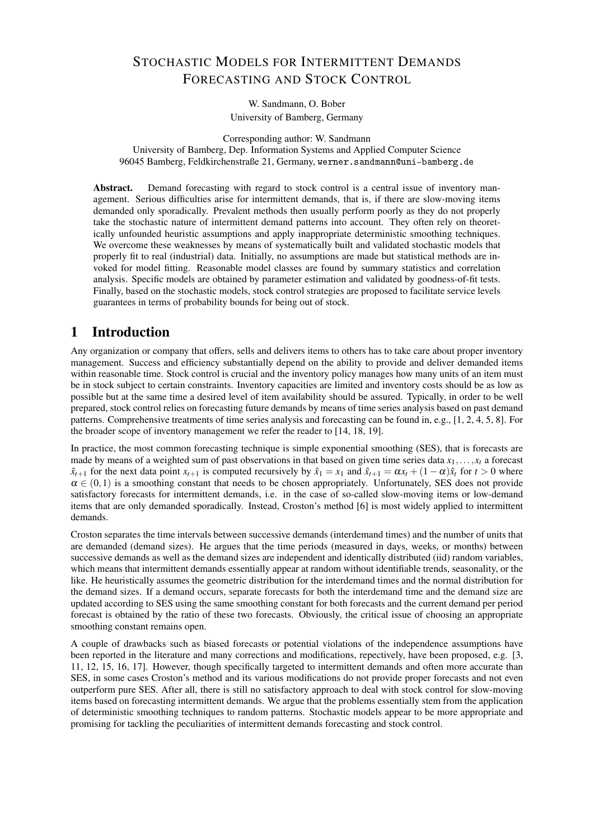# STOCHASTIC MODELS FOR INTERMITTENT DEMANDS FORECASTING AND STOCK CONTROL

W. Sandmann, O. Bober University of Bamberg, Germany

Corresponding author: W. Sandmann University of Bamberg, Dep. Information Systems and Applied Computer Science 96045 Bamberg, Feldkirchenstraße 21, Germany, werner.sandmann@uni-bamberg.de

Abstract. Demand forecasting with regard to stock control is a central issue of inventory management. Serious difficulties arise for intermittent demands, that is, if there are slow-moving items demanded only sporadically. Prevalent methods then usually perform poorly as they do not properly take the stochastic nature of intermittent demand patterns into account. They often rely on theoretically unfounded heuristic assumptions and apply inappropriate deterministic smoothing techniques. We overcome these weaknesses by means of systematically built and validated stochastic models that properly fit to real (industrial) data. Initially, no assumptions are made but statistical methods are invoked for model fitting. Reasonable model classes are found by summary statistics and correlation analysis. Specific models are obtained by parameter estimation and validated by goodness-of-fit tests. Finally, based on the stochastic models, stock control strategies are proposed to facilitate service levels guarantees in terms of probability bounds for being out of stock.

# 1 Introduction

Any organization or company that offers, sells and delivers items to others has to take care about proper inventory management. Success and efficiency substantially depend on the ability to provide and deliver demanded items within reasonable time. Stock control is crucial and the inventory policy manages how many units of an item must be in stock subject to certain constraints. Inventory capacities are limited and inventory costs should be as low as possible but at the same time a desired level of item availability should be assured. Typically, in order to be well prepared, stock control relies on forecasting future demands by means of time series analysis based on past demand patterns. Comprehensive treatments of time series analysis and forecasting can be found in, e.g., [1, 2, 4, 5, 8]. For the broader scope of inventory management we refer the reader to [14, 18, 19].

In practice, the most common forecasting technique is simple exponential smoothing (SES), that is forecasts are made by means of a weighted sum of past observations in that based on given time series data  $x_1, \ldots, x_t$  a forecast  $\hat{x}_{t+1}$  for the next data point  $x_{t+1}$  is computed recursively by  $\hat{x}_1 = x_1$  and  $\hat{x}_{t+1} = \alpha x_t + (1 - \alpha)\hat{x}_t$  for  $t > 0$  where  $\alpha \in (0,1)$  is a smoothing constant that needs to be chosen appropriately. Unfortunately, SES does not provide satisfactory forecasts for intermittent demands, i.e. in the case of so-called slow-moving items or low-demand items that are only demanded sporadically. Instead, Croston's method [6] is most widely applied to intermittent demands.

Croston separates the time intervals between successive demands (interdemand times) and the number of units that are demanded (demand sizes). He argues that the time periods (measured in days, weeks, or months) between successive demands as well as the demand sizes are independent and identically distributed (iid) random variables, which means that intermittent demands essentially appear at random without identifiable trends, seasonality, or the like. He heuristically assumes the geometric distribution for the interdemand times and the normal distribution for the demand sizes. If a demand occurs, separate forecasts for both the interdemand time and the demand size are updated according to SES using the same smoothing constant for both forecasts and the current demand per period forecast is obtained by the ratio of these two forecasts. Obviously, the critical issue of choosing an appropriate smoothing constant remains open.

A couple of drawbacks such as biased forecasts or potential violations of the independence assumptions have been reported in the literature and many corrections and modifications, repectively, have been proposed, e.g. [3, 11, 12, 15, 16, 17]. However, though specifically targeted to intermittent demands and often more accurate than SES, in some cases Croston's method and its various modifications do not provide proper forecasts and not even outperform pure SES. After all, there is still no satisfactory approach to deal with stock control for slow-moving items based on forecasting intermittent demands. We argue that the problems essentially stem from the application of deterministic smoothing techniques to random patterns. Stochastic models appear to be more appropriate and promising for tackling the peculiarities of intermittent demands forecasting and stock control.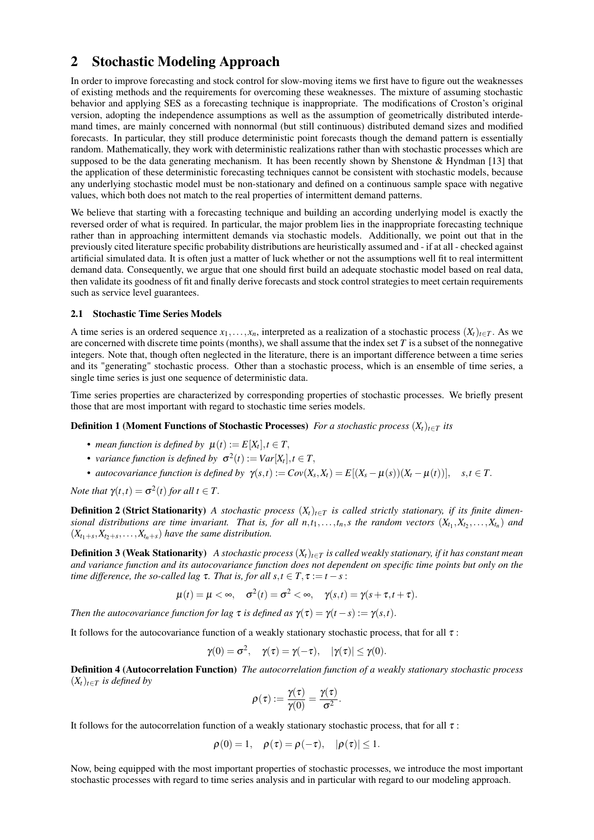# 2 Stochastic Modeling Approach

In order to improve forecasting and stock control for slow-moving items we first have to figure out the weaknesses of existing methods and the requirements for overcoming these weaknesses. The mixture of assuming stochastic behavior and applying SES as a forecasting technique is inappropriate. The modifications of Croston's original version, adopting the independence assumptions as well as the assumption of geometrically distributed interdemand times, are mainly concerned with nonnormal (but still continuous) distributed demand sizes and modified forecasts. In particular, they still produce deterministic point forecasts though the demand pattern is essentially random. Mathematically, they work with deterministic realizations rather than with stochastic processes which are supposed to be the data generating mechanism. It has been recently shown by Shenstone & Hyndman [13] that the application of these deterministic forecasting techniques cannot be consistent with stochastic models, because any underlying stochastic model must be non-stationary and defined on a continuous sample space with negative values, which both does not match to the real properties of intermittent demand patterns.

We believe that starting with a forecasting technique and building an according underlying model is exactly the reversed order of what is required. In particular, the major problem lies in the inappropriate forecasting technique rather than in approaching intermittent demands via stochastic models. Additionally, we point out that in the previously cited literature specific probability distributions are heuristically assumed and - if at all - checked against artificial simulated data. It is often just a matter of luck whether or not the assumptions well fit to real intermittent demand data. Consequently, we argue that one should first build an adequate stochastic model based on real data, then validate its goodness of fit and finally derive forecasts and stock control strategies to meet certain requirements such as service level guarantees.

### 2.1 Stochastic Time Series Models

A time series is an ordered sequence  $x_1, \ldots, x_n$ , interpreted as a realization of a stochastic process  $(X_t)_{t \in T}$ . As we are concerned with discrete time points (months), we shall assume that the index set  $T$  is a subset of the nonnegative integers. Note that, though often neglected in the literature, there is an important difference between a time series and its "generating" stochastic process. Other than a stochastic process, which is an ensemble of time series, a single time series is just one sequence of deterministic data.

Time series properties are characterized by corresponding properties of stochastic processes. We briefly present those that are most important with regard to stochastic time series models.

**Definition 1 (Moment Functions of Stochastic Processes)** *For a stochastic process*  $(X_t)_{t \in T}$  *its* 

- *mean function is defined by*  $\mu(t) := E[X_t], t \in T$ ,
- variance function is defined by  $\sigma^2(t) := Var[X_t], t \in T$ ,
- autocovariance function is defined by  $\gamma(s,t) := Cov(X_s,X_t) = E[(X_s \mu(s))(X_t \mu(t))], \quad s,t \in T$ .

*Note that*  $\gamma(t,t) = \sigma^2(t)$  *for all*  $t \in T$ .

**Definition 2 (Strict Stationarity)** *A stochastic process*  $(X_t)_{t \in T}$  *is called strictly stationary, if its finite dimensional distributions are time invariant. That is, for all*  $n,t_1,\ldots,t_n$ *, <i>s* the random vectors  $(X_{t_1},X_{t_2},\ldots,X_{t_n})$  and  $(X_{t_1+s}, X_{t_2+s}, \ldots, X_{t_n+s})$  have the same distribution.

**Definition 3 (Weak Stationarity)** *A stochastic process*  $(X_t)_{t \in T}$  *is called weakly stationary, if it has constant mean and variance function and its autocovariance function does not dependent on specific time points but only on the time difference, the so-called lag*  $\tau$ *. That is, for all s, t* ∈ *T*,  $\tau$  := *t* − *s* :

$$
\mu(t) = \mu < \infty, \quad \sigma^2(t) = \sigma^2 < \infty, \quad \gamma(s, t) = \gamma(s + \tau, t + \tau).
$$

*Then the autocovariance function for lag*  $\tau$  *is defined as*  $\gamma(\tau) = \gamma(t - s) := \gamma(s, t)$ .

It follows for the autocovariance function of a weakly stationary stochastic process, that for all  $\tau$ :

$$
\gamma(0)=\sigma^2,\quad \gamma(\tau)=\gamma(-\tau),\quad |\gamma(\tau)|\leq \gamma(0).
$$

Definition 4 (Autocorrelation Function) *The autocorrelation function of a weakly stationary stochastic process*  $(X_t)_{t \in T}$  *is defined by* 

$$
\rho(\tau):=\frac{\gamma(\tau)}{\gamma(0)}=\frac{\gamma(\tau)}{\sigma^2}.
$$

It follows for the autocorrelation function of a weakly stationary stochastic process, that for all  $\tau$ :

$$
\rho(0) = 1, \quad \rho(\tau) = \rho(-\tau), \quad |\rho(\tau)| \leq 1.
$$

Now, being equipped with the most important properties of stochastic processes, we introduce the most important stochastic processes with regard to time series analysis and in particular with regard to our modeling approach.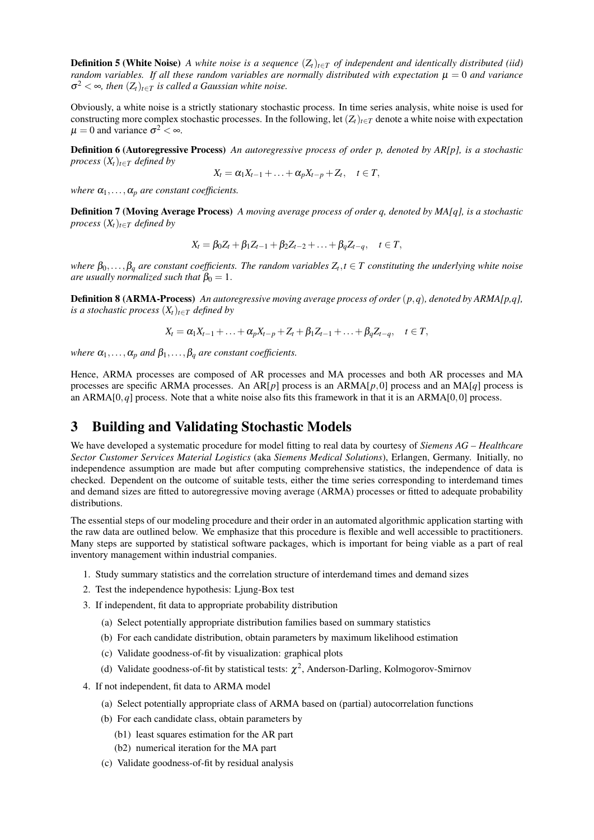**Definition 5 (White Noise)** *A white noise is a sequence*  $(Z_t)_{t \in T}$  *of independent and identically distributed (iid) random variables. If all these random variables are normally distributed with expectation*  $\mu = 0$  *and variance*  $\sigma^2 < \infty$ , then  $(Z_t)_{t \in T}$  is called a Gaussian white noise.

Obviously, a white noise is a strictly stationary stochastic process. In time series analysis, white noise is used for constructing more complex stochastic processes. In the following, let  $(Z_t)_{t \in T}$  denote a white noise with expectation  $\mu = 0$  and variance  $\sigma^2 < \infty$ .

Definition 6 (Autoregressive Process) *An autoregressive process of order p, denoted by AR[p], is a stochastic process*  $(X_t)_{t \in T}$  *defined by* 

$$
X_t = \alpha_1 X_{t-1} + \ldots + \alpha_p X_{t-p} + Z_t, \quad t \in T,
$$

*where*  $\alpha_1, \ldots, \alpha_p$  *are constant coefficients.* 

Definition 7 (Moving Average Process) *A moving average process of order q, denoted by MA[q], is a stochastic process*  $(X_t)_{t \in T}$  *defined by* 

$$
X_t = \beta_0 Z_t + \beta_1 Z_{t-1} + \beta_2 Z_{t-2} + \ldots + \beta_q Z_{t-q}, \quad t \in T,
$$

 $\kappa$ *b* $\beta_0, \ldots, \beta_q$  are constant coefficients. The random variables  $Z_t, t \in T$  constituting the underlying white noise *are usually normalized such that*  $\beta_0 = 1$ .

Definition 8 (ARMA-Process) *An autoregressive moving average process of order* (*p*,*q*)*, denoted by ARMA[p,q], is a stochastic process*  $(X_t)_{t \in T}$  *defined by* 

$$
X_t = \alpha_1 X_{t-1} + \ldots + \alpha_p X_{t-p} + Z_t + \beta_1 Z_{t-1} + \ldots + \beta_q Z_{t-q}, \quad t \in T,
$$

*where*  $\alpha_1, \ldots, \alpha_p$  *and*  $\beta_1, \ldots, \beta_q$  *are constant coefficients.* 

Hence, ARMA processes are composed of AR processes and MA processes and both AR processes and MA processes are specific ARMA processes. An AR[*p*] process is an ARMA[*p*,0] process and an MA[*q*] process is an ARMA $[0, q]$  process. Note that a white noise also fits this framework in that it is an ARMA $[0, 0]$  process.

## 3 Building and Validating Stochastic Models

We have developed a systematic procedure for model fitting to real data by courtesy of *Siemens AG – Healthcare Sector Customer Services Material Logistics* (aka *Siemens Medical Solutions*), Erlangen, Germany. Initially, no independence assumption are made but after computing comprehensive statistics, the independence of data is checked. Dependent on the outcome of suitable tests, either the time series corresponding to interdemand times and demand sizes are fitted to autoregressive moving average (ARMA) processes or fitted to adequate probability distributions.

The essential steps of our modeling procedure and their order in an automated algorithmic application starting with the raw data are outlined below. We emphasize that this procedure is flexible and well accessible to practitioners. Many steps are supported by statistical software packages, which is important for being viable as a part of real inventory management within industrial companies.

- 1. Study summary statistics and the correlation structure of interdemand times and demand sizes
- 2. Test the independence hypothesis: Ljung-Box test
- 3. If independent, fit data to appropriate probability distribution
	- (a) Select potentially appropriate distribution families based on summary statistics
	- (b) For each candidate distribution, obtain parameters by maximum likelihood estimation
	- (c) Validate goodness-of-fit by visualization: graphical plots
	- (d) Validate goodness-of-fit by statistical tests:  $\chi^2$ , Anderson-Darling, Kolmogorov-Smirnov
- 4. If not independent, fit data to ARMA model
	- (a) Select potentially appropriate class of ARMA based on (partial) autocorrelation functions
	- (b) For each candidate class, obtain parameters by
		- (b1) least squares estimation for the AR part
		- (b2) numerical iteration for the MA part
	- (c) Validate goodness-of-fit by residual analysis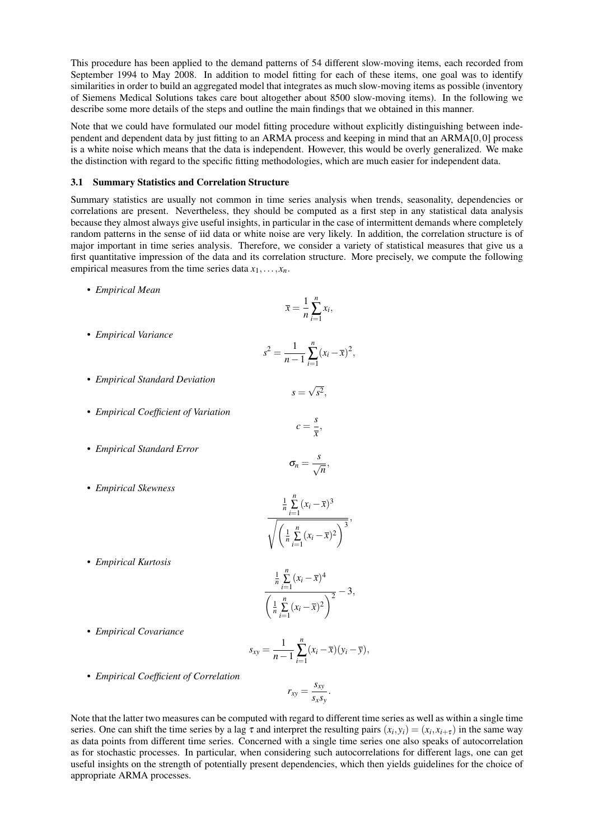This procedure has been applied to the demand patterns of 54 different slow-moving items, each recorded from September 1994 to May 2008. In addition to model fitting for each of these items, one goal was to identify similarities in order to build an aggregated model that integrates as much slow-moving items as possible (inventory of Siemens Medical Solutions takes care bout altogether about 8500 slow-moving items). In the following we describe some more details of the steps and outline the main findings that we obtained in this manner.

Note that we could have formulated our model fitting procedure without explicitly distinguishing between independent and dependent data by just fitting to an ARMA process and keeping in mind that an ARMA[0,0] process is a white noise which means that the data is independent. However, this would be overly generalized. We make the distinction with regard to the specific fitting methodologies, which are much easier for independent data.

### 3.1 Summary Statistics and Correlation Structure

Summary statistics are usually not common in time series analysis when trends, seasonality, dependencies or correlations are present. Nevertheless, they should be computed as a first step in any statistical data analysis because they almost always give useful insights, in particular in the case of intermittent demands where completely random patterns in the sense of iid data or white noise are very likely. In addition, the correlation structure is of major important in time series analysis. Therefore, we consider a variety of statistical measures that give us a first quantitative impression of the data and its correlation structure. More precisely, we compute the following empirical measures from the time series data  $x_1, \ldots, x_n$ .

• *Empirical Mean*

$$
\bar{x} = \frac{1}{n} \sum_{i=1}^{n} x_i,
$$

• *Empirical Variance*

$$
s^{2} = \frac{1}{n-1} \sum_{i=1}^{n} (x_{i} - \overline{x})^{2},
$$

 $s =$ √  $s^2,$ 

> $c = \frac{s}{s}$  $\frac{0}{\overline{x}}$ ,

 $\sigma_n = \frac{s}{\sqrt{n}},$ 

- *Empirical Standard Deviation*
- *Empirical Coefficient of Variation*
- *Empirical Standard Error*
- *Empirical Skewness*

$$
\frac{\frac{1}{n}\sum\limits_{i=1}^{n}(x_i-\overline{x})^3}{\sqrt{\left(\frac{1}{n}\sum\limits_{i=1}^{n}(x_i-\overline{x})^2\right)^3}},
$$

• *Empirical Kurtosis*

$$
\frac{\frac{1}{n}\sum_{i=1}^{n}(x_i-\overline{x})^4}{\left(\frac{1}{n}\sum_{i=1}^{n}(x_i-\overline{x})^2\right)^2}-3,
$$

• *Empirical Covariance*

$$
s_{xy} = \frac{1}{n-1} \sum_{i=1}^{n} (x_i - \overline{x})(y_i - \overline{y}),
$$

• *Empirical Coefficient of Correlation*

$$
r_{xy} = \frac{s_{xy}}{s_x s_y}.
$$

Note that the latter two measures can be computed with regard to different time series as well as within a single time series. One can shift the time series by a lag  $\tau$  and interpret the resulting pairs  $(x_i, y_i) = (x_i, x_{i+\tau})$  in the same way as data points from different time series. Concerned with a single time series one also speaks of autocorrelation as for stochastic processes. In particular, when considering such autocorrelations for different lags, one can get useful insights on the strength of potentially present dependencies, which then yields guidelines for the choice of appropriate ARMA processes.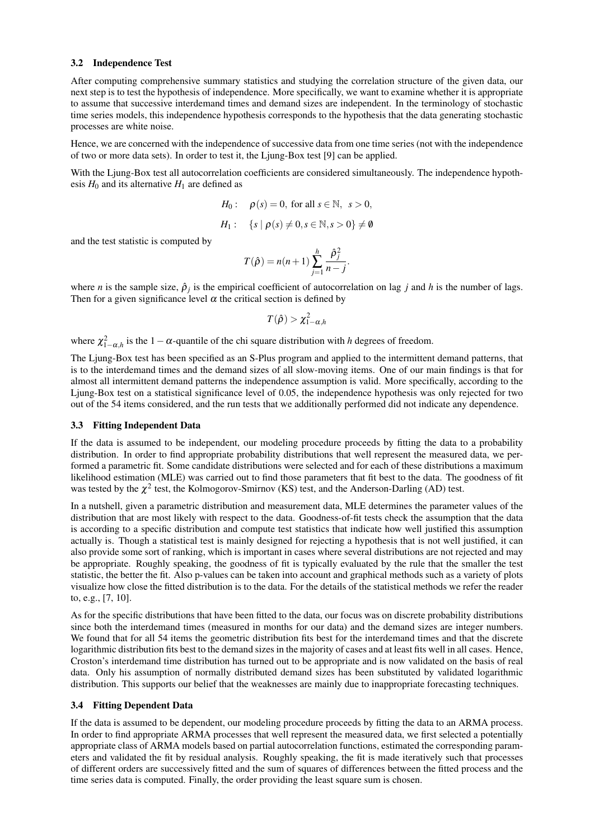#### 3.2 Independence Test

After computing comprehensive summary statistics and studying the correlation structure of the given data, our next step is to test the hypothesis of independence. More specifically, we want to examine whether it is appropriate to assume that successive interdemand times and demand sizes are independent. In the terminology of stochastic time series models, this independence hypothesis corresponds to the hypothesis that the data generating stochastic processes are white noise.

Hence, we are concerned with the independence of successive data from one time series (not with the independence of two or more data sets). In order to test it, the Ljung-Box test [9] can be applied.

With the Ljung-Box test all autocorrelation coefficients are considered simultaneously. The independence hypothesis  $H_0$  and its alternative  $H_1$  are defined as

$$
H_0: \quad \rho(s) = 0, \text{ for all } s \in \mathbb{N}, \ s > 0,
$$

$$
H_1: \quad \{s \mid \rho(s) \neq 0, s \in \mathbb{N}, s > 0\} \neq \emptyset
$$

and the test statistic is computed by

$$
T(\hat{\rho}) = n(n+1) \sum_{j=1}^{h} \frac{\hat{\rho}_j^2}{n-j}.
$$

where *n* is the sample size,  $\hat{\rho}_j$  is the empirical coefficient of autocorrelation on lag *j* and *h* is the number of lags. Then for a given significance level  $\alpha$  the critical section is defined by

$$
T(\hat{\rho}) > \chi^2_{1-\alpha,h}
$$

where  $\chi^2_{1-\alpha,h}$  is the 1 –  $\alpha$ -quantile of the chi square distribution with *h* degrees of freedom.

The Ljung-Box test has been specified as an S-Plus program and applied to the intermittent demand patterns, that is to the interdemand times and the demand sizes of all slow-moving items. One of our main findings is that for almost all intermittent demand patterns the independence assumption is valid. More specifically, according to the Ljung-Box test on a statistical significance level of 0.05, the independence hypothesis was only rejected for two out of the 54 items considered, and the run tests that we additionally performed did not indicate any dependence.

#### 3.3 Fitting Independent Data

If the data is assumed to be independent, our modeling procedure proceeds by fitting the data to a probability distribution. In order to find appropriate probability distributions that well represent the measured data, we performed a parametric fit. Some candidate distributions were selected and for each of these distributions a maximum likelihood estimation (MLE) was carried out to find those parameters that fit best to the data. The goodness of fit was tested by the  $\chi^2$  test, the Kolmogorov-Smirnov (KS) test, and the Anderson-Darling (AD) test.

In a nutshell, given a parametric distribution and measurement data, MLE determines the parameter values of the distribution that are most likely with respect to the data. Goodness-of-fit tests check the assumption that the data is according to a specific distribution and compute test statistics that indicate how well justified this assumption actually is. Though a statistical test is mainly designed for rejecting a hypothesis that is not well justified, it can also provide some sort of ranking, which is important in cases where several distributions are not rejected and may be appropriate. Roughly speaking, the goodness of fit is typically evaluated by the rule that the smaller the test statistic, the better the fit. Also p-values can be taken into account and graphical methods such as a variety of plots visualize how close the fitted distribution is to the data. For the details of the statistical methods we refer the reader to, e.g., [7, 10].

As for the specific distributions that have been fitted to the data, our focus was on discrete probability distributions since both the interdemand times (measured in months for our data) and the demand sizes are integer numbers. We found that for all 54 items the geometric distribution fits best for the interdemand times and that the discrete logarithmic distribution fits best to the demand sizes in the majority of cases and at least fits well in all cases. Hence, Croston's interdemand time distribution has turned out to be appropriate and is now validated on the basis of real data. Only his assumption of normally distributed demand sizes has been substituted by validated logarithmic distribution. This supports our belief that the weaknesses are mainly due to inappropriate forecasting techniques.

#### 3.4 Fitting Dependent Data

If the data is assumed to be dependent, our modeling procedure proceeds by fitting the data to an ARMA process. In order to find appropriate ARMA processes that well represent the measured data, we first selected a potentially appropriate class of ARMA models based on partial autocorrelation functions, estimated the corresponding parameters and validated the fit by residual analysis. Roughly speaking, the fit is made iteratively such that processes of different orders are successively fitted and the sum of squares of differences between the fitted process and the time series data is computed. Finally, the order providing the least square sum is chosen.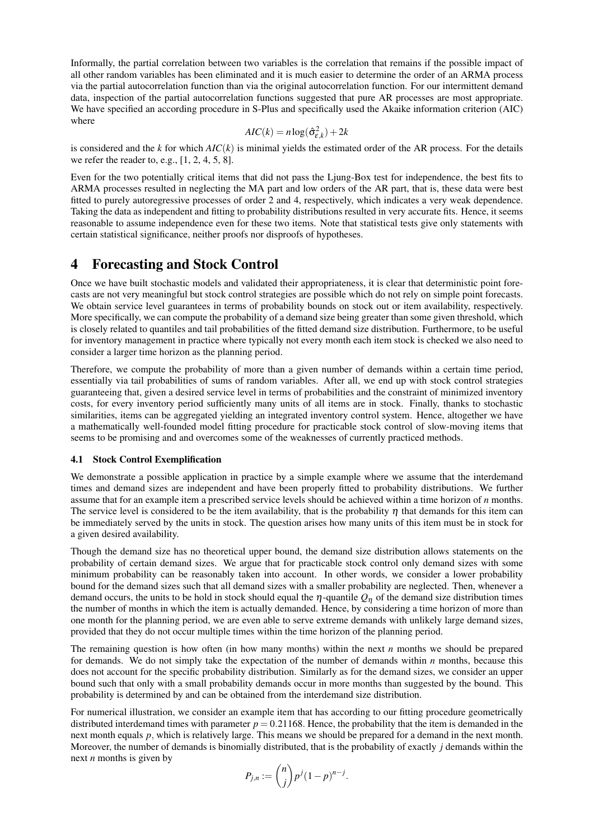Informally, the partial correlation between two variables is the correlation that remains if the possible impact of all other random variables has been eliminated and it is much easier to determine the order of an ARMA process via the partial autocorrelation function than via the original autocorrelation function. For our intermittent demand data, inspection of the partial autocorrelation functions suggested that pure AR processes are most appropriate. We have specified an according procedure in S-Plus and specifically used the Akaike information criterion (AIC) where

$$
AIC(k) = n \log(\hat{\sigma}_{\varepsilon,k}^2) + 2k
$$

is considered and the *k* for which  $AIC(k)$  is minimal yields the estimated order of the AR process. For the details we refer the reader to, e.g.,  $[1, 2, 4, 5, 8]$ .

Even for the two potentially critical items that did not pass the Ljung-Box test for independence, the best fits to ARMA processes resulted in neglecting the MA part and low orders of the AR part, that is, these data were best fitted to purely autoregressive processes of order 2 and 4, respectively, which indicates a very weak dependence. Taking the data as independent and fitting to probability distributions resulted in very accurate fits. Hence, it seems reasonable to assume independence even for these two items. Note that statistical tests give only statements with certain statistical significance, neither proofs nor disproofs of hypotheses.

## 4 Forecasting and Stock Control

Once we have built stochastic models and validated their appropriateness, it is clear that deterministic point forecasts are not very meaningful but stock control strategies are possible which do not rely on simple point forecasts. We obtain service level guarantees in terms of probability bounds on stock out or item availability, respectively. More specifically, we can compute the probability of a demand size being greater than some given threshold, which is closely related to quantiles and tail probabilities of the fitted demand size distribution. Furthermore, to be useful for inventory management in practice where typically not every month each item stock is checked we also need to consider a larger time horizon as the planning period.

Therefore, we compute the probability of more than a given number of demands within a certain time period, essentially via tail probabilities of sums of random variables. After all, we end up with stock control strategies guaranteeing that, given a desired service level in terms of probabilities and the constraint of minimized inventory costs, for every inventory period sufficiently many units of all items are in stock. Finally, thanks to stochastic similarities, items can be aggregated yielding an integrated inventory control system. Hence, altogether we have a mathematically well-founded model fitting procedure for practicable stock control of slow-moving items that seems to be promising and and overcomes some of the weaknesses of currently practiced methods.

#### 4.1 Stock Control Exemplification

We demonstrate a possible application in practice by a simple example where we assume that the interdemand times and demand sizes are independent and have been properly fitted to probability distributions. We further assume that for an example item a prescribed service levels should be achieved within a time horizon of *n* months. The service level is considered to be the item availability, that is the probability  $\eta$  that demands for this item can be immediately served by the units in stock. The question arises how many units of this item must be in stock for a given desired availability.

Though the demand size has no theoretical upper bound, the demand size distribution allows statements on the probability of certain demand sizes. We argue that for practicable stock control only demand sizes with some minimum probability can be reasonably taken into account. In other words, we consider a lower probability bound for the demand sizes such that all demand sizes with a smaller probability are neglected. Then, whenever a demand occurs, the units to be hold in stock should equal the  $\eta$ -quantile  $Q_n$  of the demand size distribution times the number of months in which the item is actually demanded. Hence, by considering a time horizon of more than one month for the planning period, we are even able to serve extreme demands with unlikely large demand sizes, provided that they do not occur multiple times within the time horizon of the planning period.

The remaining question is how often (in how many months) within the next *n* months we should be prepared for demands. We do not simply take the expectation of the number of demands within *n* months, because this does not account for the specific probability distribution. Similarly as for the demand sizes, we consider an upper bound such that only with a small probability demands occur in more months than suggested by the bound. This probability is determined by and can be obtained from the interdemand size distribution.

For numerical illustration, we consider an example item that has according to our fitting procedure geometrically distributed interdemand times with parameter  $p = 0.21168$ . Hence, the probability that the item is demanded in the next month equals *p*, which is relatively large. This means we should be prepared for a demand in the next month. Moreover, the number of demands is binomially distributed, that is the probability of exactly *j* demands within the next *n* months is given by

$$
P_{j,n} := \binom{n}{j} p^j (1-p)^{n-j}.
$$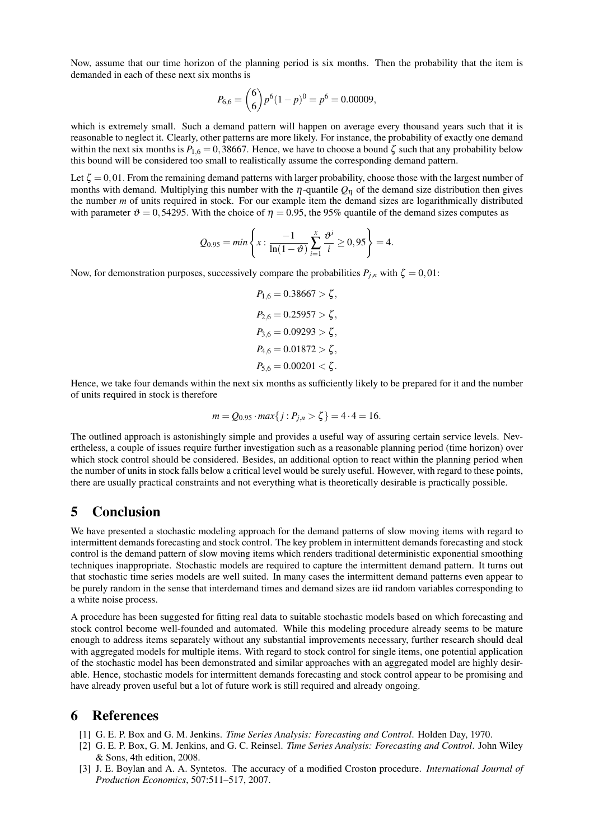Now, assume that our time horizon of the planning period is six months. Then the probability that the item is demanded in each of these next six months is

$$
P_{6,6} = {6 \choose 6} p^6 (1-p)^0 = p^6 = 0.00009,
$$

which is extremely small. Such a demand pattern will happen on average every thousand years such that it is reasonable to neglect it. Clearly, other patterns are more likely. For instance, the probability of exactly one demand within the next six months is  $P_{1,6} = 0,38667$ . Hence, we have to choose a bound  $\zeta$  such that any probability below this bound will be considered too small to realistically assume the corresponding demand pattern.

Let  $\zeta = 0.01$ . From the remaining demand patterns with larger probability, choose those with the largest number of months with demand. Multiplying this number with the  $\eta$ -quantile  $Q_{\eta}$  of the demand size distribution then gives the number *m* of units required in stock. For our example item the demand sizes are logarithmically distributed with parameter  $\vartheta = 0.54295$ . With the choice of  $\eta = 0.95$ , the 95% quantile of the demand sizes computes as

$$
Q_{0.95} = \min\left\{x : \frac{-1}{\ln(1-\vartheta)}\sum_{i=1}^{x} \frac{\vartheta^{i}}{i} \ge 0.95\right\} = 4.
$$

Now, for demonstration purposes, successively compare the probabilities  $P_{j,n}$  with  $\zeta = 0.01$ :

$$
P_{1,6} = 0.38667 > \zeta,
$$
  
\n
$$
P_{2,6} = 0.25957 > \zeta,
$$
  
\n
$$
P_{3,6} = 0.09293 > \zeta,
$$
  
\n
$$
P_{4,6} = 0.01872 > \zeta,
$$
  
\n
$$
P_{5,6} = 0.00201 < \zeta.
$$

Hence, we take four demands within the next six months as sufficiently likely to be prepared for it and the number of units required in stock is therefore

$$
m = Q_{0.95} \cdot \max\{j : P_{j,n} > \zeta\} = 4 \cdot 4 = 16.
$$

The outlined approach is astonishingly simple and provides a useful way of assuring certain service levels. Nevertheless, a couple of issues require further investigation such as a reasonable planning period (time horizon) over which stock control should be considered. Besides, an additional option to react within the planning period when the number of units in stock falls below a critical level would be surely useful. However, with regard to these points, there are usually practical constraints and not everything what is theoretically desirable is practically possible.

### 5 Conclusion

We have presented a stochastic modeling approach for the demand patterns of slow moving items with regard to intermittent demands forecasting and stock control. The key problem in intermittent demands forecasting and stock control is the demand pattern of slow moving items which renders traditional deterministic exponential smoothing techniques inappropriate. Stochastic models are required to capture the intermittent demand pattern. It turns out that stochastic time series models are well suited. In many cases the intermittent demand patterns even appear to be purely random in the sense that interdemand times and demand sizes are iid random variables corresponding to a white noise process.

A procedure has been suggested for fitting real data to suitable stochastic models based on which forecasting and stock control become well-founded and automated. While this modeling procedure already seems to be mature enough to address items separately without any substantial improvements necessary, further research should deal with aggregated models for multiple items. With regard to stock control for single items, one potential application of the stochastic model has been demonstrated and similar approaches with an aggregated model are highly desirable. Hence, stochastic models for intermittent demands forecasting and stock control appear to be promising and have already proven useful but a lot of future work is still required and already ongoing.

### 6 References

- [1] G. E. P. Box and G. M. Jenkins. *Time Series Analysis: Forecasting and Control*. Holden Day, 1970.
- [2] G. E. P. Box, G. M. Jenkins, and G. C. Reinsel. *Time Series Analysis: Forecasting and Control*. John Wiley & Sons, 4th edition, 2008.
- [3] J. E. Boylan and A. A. Syntetos. The accuracy of a modified Croston procedure. *International Journal of Production Economics*, 507:511–517, 2007.